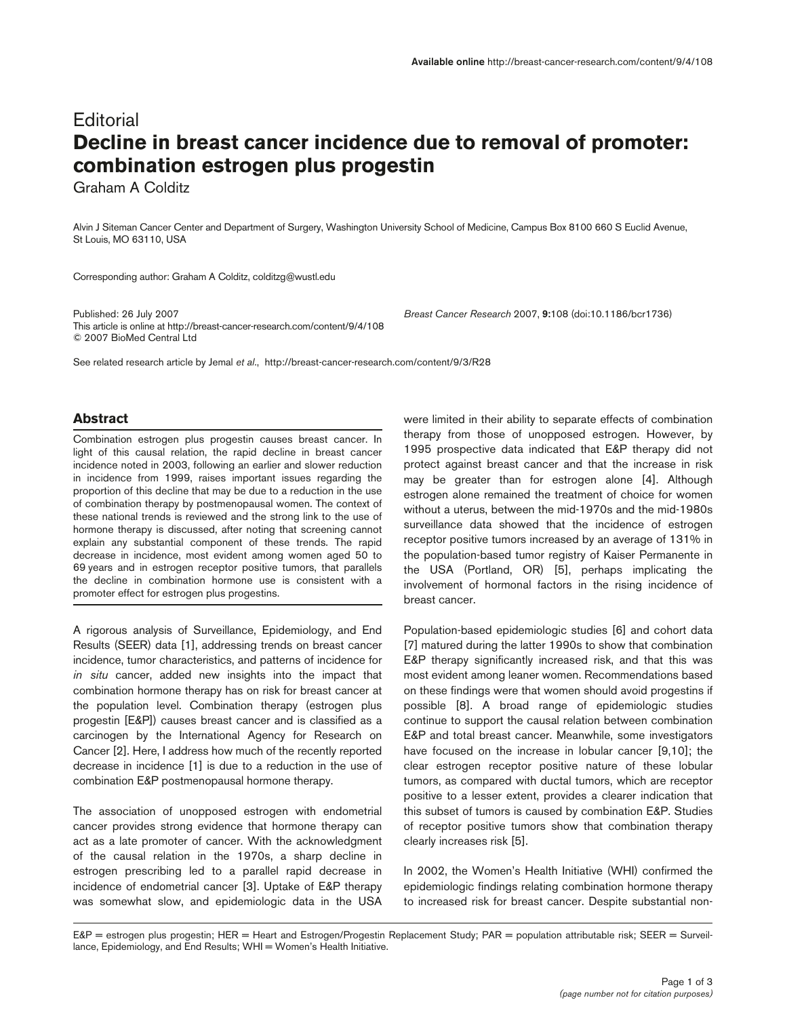## **Editorial Decline in breast cancer incidence due to removal of promoter: combination estrogen plus progestin**

Graham A Colditz

Alvin J Siteman Cancer Center and Department of Surgery, Washington University School of Medicine, Campus Box 8100 660 S Euclid Avenue, St Louis, MO 63110, USA

Corresponding author: Graham A Colditz, colditzg@wustl.edu

Published: 26 July 2007 *Breast Cancer Research* 2007, **9:**108 (doi:10.1186/bcr1736) This article is online at http://breast-cancer-research.com/content/9/4/108 © 2007 BioMed Central Ltd

See related research article by Jemal *et al*., http://breast-cancer-research.com/content/9/3/R28

## **Abstract**

Combination estrogen plus progestin causes breast cancer. In light of this causal relation, the rapid decline in breast cancer incidence noted in 2003, following an earlier and slower reduction in incidence from 1999, raises important issues regarding the proportion of this decline that may be due to a reduction in the use of combination therapy by postmenopausal women. The context of these national trends is reviewed and the strong link to the use of hormone therapy is discussed, after noting that screening cannot explain any substantial component of these trends. The rapid decrease in incidence, most evident among women aged 50 to 69 years and in estrogen receptor positive tumors, that parallels the decline in combination hormone use is consistent with a promoter effect for estrogen plus progestins.

A rigorous analysis of Surveillance, Epidemiology, and End Results (SEER) data [1], addressing trends on breast cancer incidence, tumor characteristics, and patterns of incidence for *in situ* cancer, added new insights into the impact that combination hormone therapy has on risk for breast cancer at the population level. Combination therapy (estrogen plus progestin [E&P]) causes breast cancer and is classified as a carcinogen by the International Agency for Research on Cancer [2]. Here, I address how much of the recently reported decrease in incidence [1] is due to a reduction in the use of combination E&P postmenopausal hormone therapy.

The association of unopposed estrogen with endometrial cancer provides strong evidence that hormone therapy can act as a late promoter of cancer. With the acknowledgment of the causal relation in the 1970s, a sharp decline in estrogen prescribing led to a parallel rapid decrease in incidence of endometrial cancer [3]. Uptake of E&P therapy was somewhat slow, and epidemiologic data in the USA

were limited in their ability to separate effects of combination therapy from those of unopposed estrogen. However, by 1995 prospective data indicated that E&P therapy did not protect against breast cancer and that the increase in risk may be greater than for estrogen alone [4]. Although estrogen alone remained the treatment of choice for women without a uterus, between the mid-1970s and the mid-1980s surveillance data showed that the incidence of estrogen receptor positive tumors increased by an average of 131% in the population-based tumor registry of Kaiser Permanente in the USA (Portland, OR) [5], perhaps implicating the involvement of hormonal factors in the rising incidence of breast cancer.

Population-based epidemiologic studies [6] and cohort data [7] matured during the latter 1990s to show that combination E&P therapy significantly increased risk, and that this was most evident among leaner women. Recommendations based on these findings were that women should avoid progestins if possible [8]. A broad range of epidemiologic studies continue to support the causal relation between combination E&P and total breast cancer. Meanwhile, some investigators have focused on the increase in lobular cancer [9,10]; the clear estrogen receptor positive nature of these lobular tumors, as compared with ductal tumors, which are receptor positive to a lesser extent, provides a clearer indication that this subset of tumors is caused by combination E&P. Studies of receptor positive tumors show that combination therapy clearly increases risk [5].

In 2002, the Women's Health Initiative (WHI) confirmed the epidemiologic findings relating combination hormone therapy to increased risk for breast cancer. Despite substantial non-

E&P = estrogen plus progestin; HER = Heart and Estrogen/Progestin Replacement Study; PAR = population attributable risk; SEER = Surveillance, Epidemiology, and End Results; WHI = Women's Health Initiative.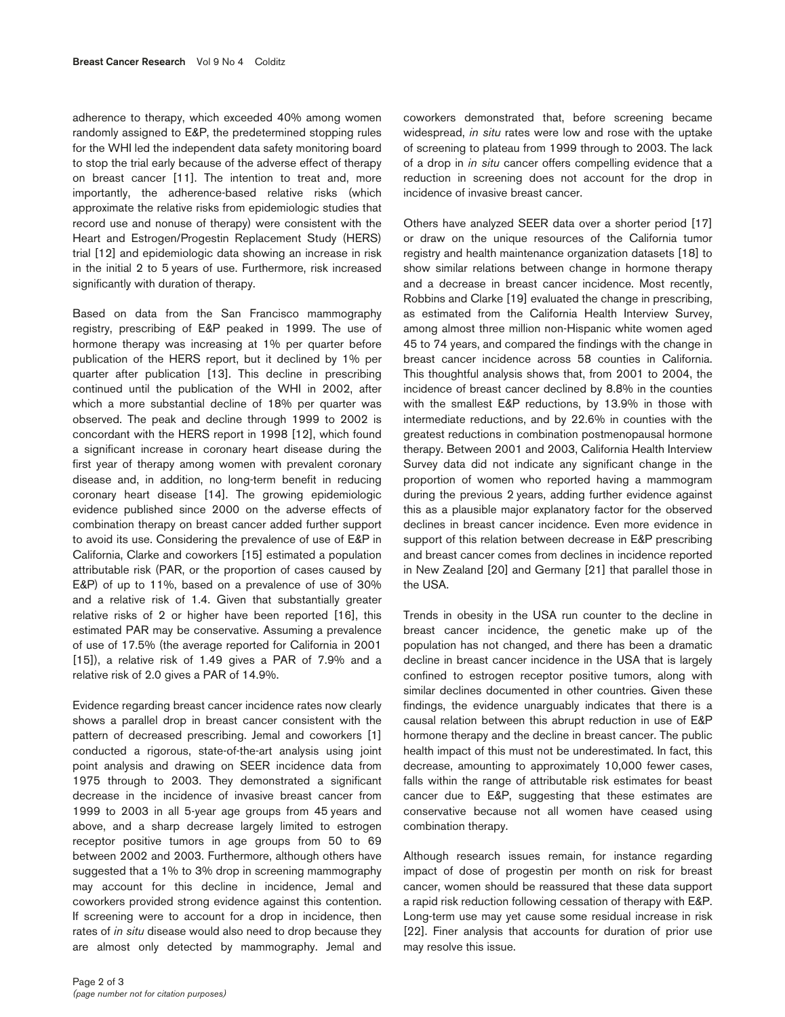adherence to therapy, which exceeded 40% among women randomly assigned to E&P, the predetermined stopping rules for the WHI led the independent data safety monitoring board to stop the trial early because of the adverse effect of therapy on breast cancer [11]. The intention to treat and, more importantly, the adherence-based relative risks (which approximate the relative risks from epidemiologic studies that record use and nonuse of therapy) were consistent with the Heart and Estrogen/Progestin Replacement Study (HERS) trial [12] and epidemiologic data showing an increase in risk in the initial 2 to 5 years of use. Furthermore, risk increased significantly with duration of therapy.

Based on data from the San Francisco mammography registry, prescribing of E&P peaked in 1999. The use of hormone therapy was increasing at 1% per quarter before publication of the HERS report, but it declined by 1% per quarter after publication [13]. This decline in prescribing continued until the publication of the WHI in 2002, after which a more substantial decline of 18% per quarter was observed. The peak and decline through 1999 to 2002 is concordant with the HERS report in 1998 [12], which found a significant increase in coronary heart disease during the first year of therapy among women with prevalent coronary disease and, in addition, no long-term benefit in reducing coronary heart disease [14]. The growing epidemiologic evidence published since 2000 on the adverse effects of combination therapy on breast cancer added further support to avoid its use. Considering the prevalence of use of E&P in California, Clarke and coworkers [15] estimated a population attributable risk (PAR, or the proportion of cases caused by E&P) of up to 11%, based on a prevalence of use of 30% and a relative risk of 1.4. Given that substantially greater relative risks of 2 or higher have been reported [16], this estimated PAR may be conservative. Assuming a prevalence of use of 17.5% (the average reported for California in 2001 [15]), a relative risk of 1.49 gives a PAR of 7.9% and a relative risk of 2.0 gives a PAR of 14.9%.

Evidence regarding breast cancer incidence rates now clearly shows a parallel drop in breast cancer consistent with the pattern of decreased prescribing. Jemal and coworkers [1] conducted a rigorous, state-of-the-art analysis using joint point analysis and drawing on SEER incidence data from 1975 through to 2003. They demonstrated a significant decrease in the incidence of invasive breast cancer from 1999 to 2003 in all 5-year age groups from 45 years and above, and a sharp decrease largely limited to estrogen receptor positive tumors in age groups from 50 to 69 between 2002 and 2003. Furthermore, although others have suggested that a 1% to 3% drop in screening mammography may account for this decline in incidence, Jemal and coworkers provided strong evidence against this contention. If screening were to account for a drop in incidence, then rates of *in situ* disease would also need to drop because they are almost only detected by mammography. Jemal and

coworkers demonstrated that, before screening became widespread, *in situ* rates were low and rose with the uptake of screening to plateau from 1999 through to 2003. The lack of a drop in *in situ* cancer offers compelling evidence that a reduction in screening does not account for the drop in incidence of invasive breast cancer.

Others have analyzed SEER data over a shorter period [17] or draw on the unique resources of the California tumor registry and health maintenance organization datasets [18] to show similar relations between change in hormone therapy and a decrease in breast cancer incidence. Most recently, Robbins and Clarke [19] evaluated the change in prescribing, as estimated from the California Health Interview Survey, among almost three million non-Hispanic white women aged 45 to 74 years, and compared the findings with the change in breast cancer incidence across 58 counties in California. This thoughtful analysis shows that, from 2001 to 2004, the incidence of breast cancer declined by 8.8% in the counties with the smallest E&P reductions, by 13.9% in those with intermediate reductions, and by 22.6% in counties with the greatest reductions in combination postmenopausal hormone therapy. Between 2001 and 2003, California Health Interview Survey data did not indicate any significant change in the proportion of women who reported having a mammogram during the previous 2 years, adding further evidence against this as a plausible major explanatory factor for the observed declines in breast cancer incidence. Even more evidence in support of this relation between decrease in E&P prescribing and breast cancer comes from declines in incidence reported in New Zealand [20] and Germany [21] that parallel those in the USA.

Trends in obesity in the USA run counter to the decline in breast cancer incidence, the genetic make up of the population has not changed, and there has been a dramatic decline in breast cancer incidence in the USA that is largely confined to estrogen receptor positive tumors, along with similar declines documented in other countries. Given these findings, the evidence unarguably indicates that there is a causal relation between this abrupt reduction in use of E&P hormone therapy and the decline in breast cancer. The public health impact of this must not be underestimated. In fact, this decrease, amounting to approximately 10,000 fewer cases, falls within the range of attributable risk estimates for beast cancer due to E&P, suggesting that these estimates are conservative because not all women have ceased using combination therapy.

Although research issues remain, for instance regarding impact of dose of progestin per month on risk for breast cancer, women should be reassured that these data support a rapid risk reduction following cessation of therapy with E&P. Long-term use may yet cause some residual increase in risk [22]. Finer analysis that accounts for duration of prior use may resolve this issue.